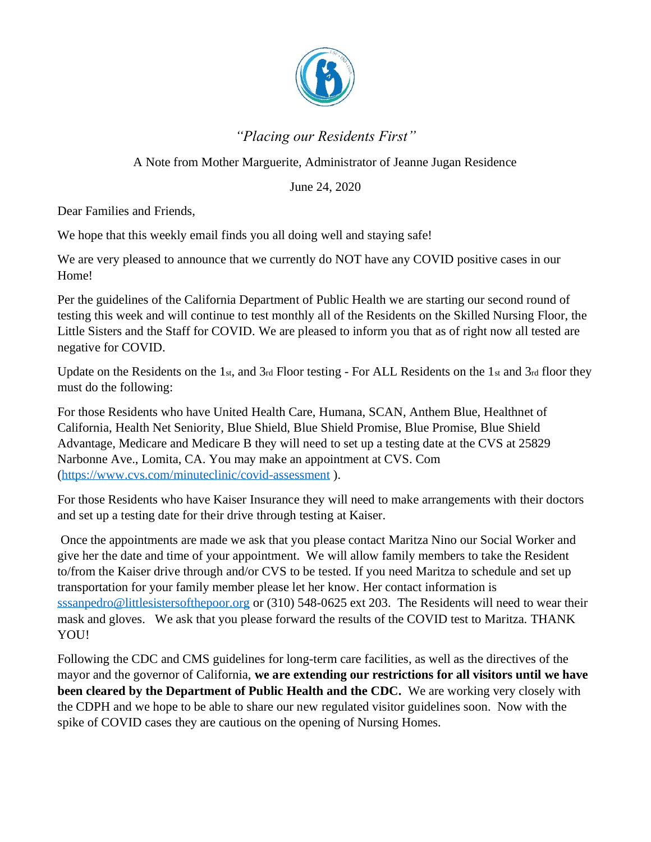

## *"Placing our Residents First"*

## A Note from Mother Marguerite, Administrator of Jeanne Jugan Residence

June 24, 2020

Dear Families and Friends,

We hope that this weekly email finds you all doing well and staying safe!

We are very pleased to announce that we currently do NOT have any COVID positive cases in our Home!

Per the guidelines of the California Department of Public Health we are starting our second round of testing this week and will continue to test monthly all of the Residents on the Skilled Nursing Floor, the Little Sisters and the Staff for COVID. We are pleased to inform you that as of right now all tested are negative for COVID.

Update on the Residents on the 1st, and 3rd Floor testing - For ALL Residents on the 1st and 3rd floor they must do the following:

For those Residents who have United Health Care, Humana, SCAN, Anthem Blue, Healthnet of California, Health Net Seniority, Blue Shield, Blue Shield Promise, Blue Promise, Blue Shield Advantage, Medicare and Medicare B they will need to set up a testing date at the CVS at 25829 Narbonne Ave., Lomita, CA. You may make an appointment at CVS. Com [\(https://www.cvs.com/minuteclinic/covid-assessment](https://www.cvs.com/minuteclinic/covid-assessment) ).

For those Residents who have Kaiser Insurance they will need to make arrangements with their doctors and set up a testing date for their drive through testing at Kaiser.

Once the appointments are made we ask that you please contact Maritza Nino our Social Worker and give her the date and time of your appointment. We will allow family members to take the Resident to/from the Kaiser drive through and/or CVS to be tested. If you need Maritza to schedule and set up transportation for your family member please let her know. Her contact information is [sssanpedro@littlesistersofthepoor.org](mailto:sssanpedro@littlesistersofthepoor.org) or (310) 548-0625 ext 203. The Residents will need to wear their mask and gloves. We ask that you please forward the results of the COVID test to Maritza. THANK YOU!

Following the CDC and CMS guidelines for long-term care facilities, as well as the directives of the mayor and the governor of California, **we are extending our restrictions for all visitors until we have been cleared by the Department of Public Health and the CDC.** We are working very closely with the CDPH and we hope to be able to share our new regulated visitor guidelines soon. Now with the spike of COVID cases they are cautious on the opening of Nursing Homes.